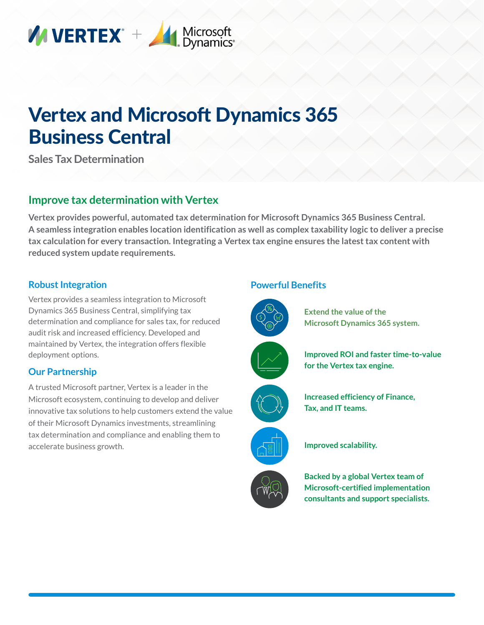

# Vertex and Microsoft Dynamics 365 Business Central

**Sales Tax Determination**

# **Improve tax determination with Vertex**

**Vertex provides powerful, automated tax determination for Microsoft Dynamics 365 Business Central. A seamless integration enables location identification as well as complex taxability logic to deliver a precise tax calculation for every transaction. Integrating a Vertex tax engine ensures the latest tax content with reduced system update requirements.**

#### **Robust Integration**

Vertex provides a seamless integration to Microsoft Dynamics 365 Business Central, simplifying tax determination and compliance for sales tax, for reduced audit risk and increased efficiency. Developed and maintained by Vertex, the integration offers flexible deployment options.

#### **Our Partnership**

A trusted Microsoft partner, Vertex is a leader in the Microsoft ecosystem, continuing to develop and deliver innovative tax solutions to help customers extend the value of their Microsoft Dynamics investments, streamlining tax determination and compliance and enabling them to accelerate business growth.

#### **Powerful Benefits**



**Extend the value of the Microsoft Dynamics 365 system.**











**Improved scalability.**

**Backed by a global Vertex team of Microsoft-certified implementation consultants and support specialists.**